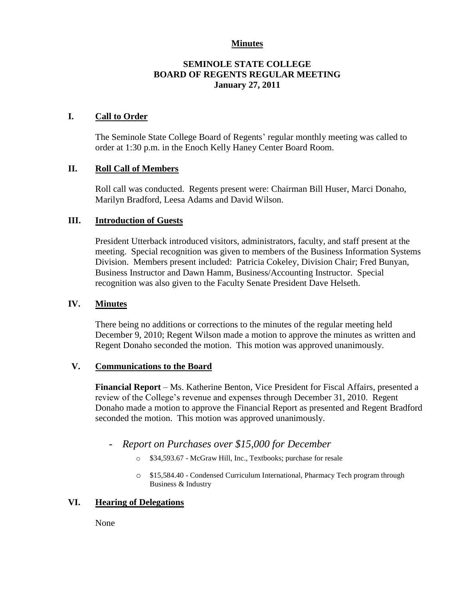#### **Minutes**

# **SEMINOLE STATE COLLEGE BOARD OF REGENTS REGULAR MEETING January 27, 2011**

# **I. Call to Order**

The Seminole State College Board of Regents' regular monthly meeting was called to order at 1:30 p.m. in the Enoch Kelly Haney Center Board Room.

# **II. Roll Call of Members**

Roll call was conducted. Regents present were: Chairman Bill Huser, Marci Donaho, Marilyn Bradford, Leesa Adams and David Wilson.

# **III. Introduction of Guests**

President Utterback introduced visitors, administrators, faculty, and staff present at the meeting. Special recognition was given to members of the Business Information Systems Division. Members present included: Patricia Cokeley, Division Chair; Fred Bunyan, Business Instructor and Dawn Hamm, Business/Accounting Instructor. Special recognition was also given to the Faculty Senate President Dave Helseth.

#### **IV. Minutes**

There being no additions or corrections to the minutes of the regular meeting held December 9, 2010; Regent Wilson made a motion to approve the minutes as written and Regent Donaho seconded the motion. This motion was approved unanimously.

#### **V. Communications to the Board**

**Financial Report** – Ms. Katherine Benton, Vice President for Fiscal Affairs, presented a review of the College's revenue and expenses through December 31, 2010. Regent Donaho made a motion to approve the Financial Report as presented and Regent Bradford seconded the motion. This motion was approved unanimously.

- *Report on Purchases over \$15,000 for December*
	- o \$34,593.67 McGraw Hill, Inc., Textbooks; purchase for resale
	- o \$15,584.40 Condensed Curriculum International, Pharmacy Tech program through Business & Industry

# **VI. Hearing of Delegations**

None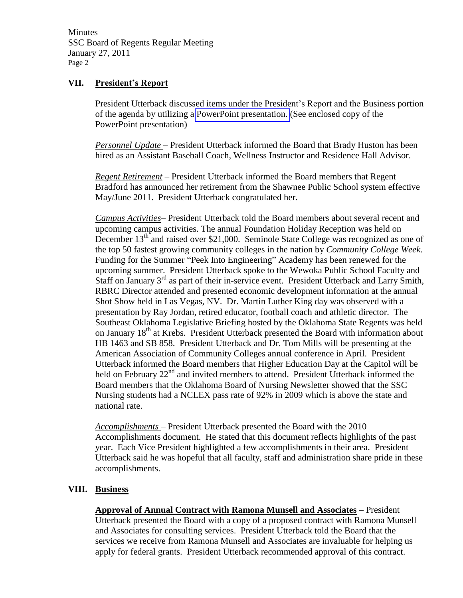**Minutes** SSC Board of Regents Regular Meeting January 27, 2011 Page 2

# **VII. President's Report**

President Utterback discussed items under the President's Report and the Business portion of the agenda by utilizing a PowerPoint presentation. (See enclosed copy of the PowerPoint presentation)

*Personnel Update* – President Utterback informed the Board that Brady Huston has been hired as an Assistant Baseball Coach, Wellness Instructor and Residence Hall Advisor.

*Regent Retirement –* President Utterback informed the Board members that Regent Bradford has announced her retirement from the Shawnee Public School system effective May/June 2011. President Utterback congratulated her.

*Campus Activities*– President Utterback told the Board members about several recent and upcoming campus activities. The annual Foundation Holiday Reception was held on December  $13<sup>th</sup>$  and raised over \$21,000. Seminole State College was recognized as one of the top 50 fastest growing community colleges in the nation by *Community College Week*. Funding for the Summer "Peek Into Engineering" Academy has been renewed for the upcoming summer. President Utterback spoke to the Wewoka Public School Faculty and Staff on January  $3<sup>rd</sup>$  as part of their in-service event. President Utterback and Larry Smith, RBRC Director attended and presented economic development information at the annual Shot Show held in Las Vegas, NV. Dr. Martin Luther King day was observed with a presentation by Ray Jordan, retired educator, football coach and athletic director. The Southeast Oklahoma Legislative Briefing hosted by the Oklahoma State Regents was held on January 18<sup>th</sup> at Krebs. President Utterback presented the Board with information about HB 1463 and SB 858. President Utterback and Dr. Tom Mills will be presenting at the American Association of Community Colleges annual conference in April. President Utterback informed the Board members that Higher Education Day at the Capitol will be held on February 22<sup>nd</sup> and invited members to attend. President Utterback informed the Board members that the Oklahoma Board of Nursing Newsletter showed that the SSC Nursing students had a NCLEX pass rate of 92% in 2009 which is above the state and national rate.

*Accomplishments* – President Utterback presented the Board with the 2010 Accomplishments document. He stated that this document reflects highlights of the past year. Each Vice President highlighted a few accomplishments in their area. President Utterback said he was hopeful that all faculty, staff and administration share pride in these accomplishments.

# **VIII. Business**

**Approval of Annual Contract with Ramona Munsell and Associates** – President Utterback presented the Board with a copy of a proposed contract with Ramona Munsell and Associates for consulting services. President Utterback told the Board that the services we receive from Ramona Munsell and Associates are invaluable for helping us apply for federal grants. President Utterback recommended approval of this contract.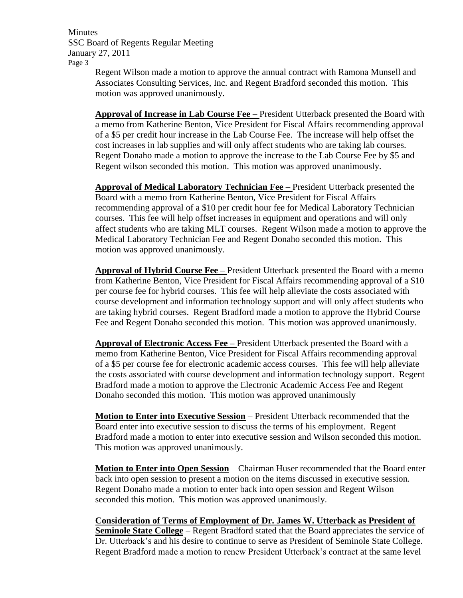**Minutes** SSC Board of Regents Regular Meeting January 27, 2011 Page 3

Regent Wilson made a motion to approve the annual contract with Ramona Munsell and Associates Consulting Services, Inc. and Regent Bradford seconded this motion. This motion was approved unanimously.

**Approval of Increase in Lab Course Fee –** President Utterback presented the Board with a memo from Katherine Benton, Vice President for Fiscal Affairs recommending approval of a \$5 per credit hour increase in the Lab Course Fee. The increase will help offset the cost increases in lab supplies and will only affect students who are taking lab courses. Regent Donaho made a motion to approve the increase to the Lab Course Fee by \$5 and Regent wilson seconded this motion. This motion was approved unanimously.

**Approval of Medical Laboratory Technician Fee –** President Utterback presented the Board with a memo from Katherine Benton, Vice President for Fiscal Affairs recommending approval of a \$10 per credit hour fee for Medical Laboratory Technician courses. This fee will help offset increases in equipment and operations and will only affect students who are taking MLT courses. Regent Wilson made a motion to approve the Medical Laboratory Technician Fee and Regent Donaho seconded this motion. This motion was approved unanimously.

**Approval of Hybrid Course Fee –** President Utterback presented the Board with a memo from Katherine Benton, Vice President for Fiscal Affairs recommending approval of a \$10 per course fee for hybrid courses. This fee will help alleviate the costs associated with course development and information technology support and will only affect students who are taking hybrid courses. Regent Bradford made a motion to approve the Hybrid Course Fee and Regent Donaho seconded this motion. This motion was approved unanimously.

**Approval of Electronic Access Fee –** President Utterback presented the Board with a memo from Katherine Benton, Vice President for Fiscal Affairs recommending approval of a \$5 per course fee for electronic academic access courses. This fee will help alleviate the costs associated with course development and information technology support. Regent Bradford made a motion to approve the Electronic Academic Access Fee and Regent Donaho seconded this motion. This motion was approved unanimously

**Motion to Enter into Executive Session** – President Utterback recommended that the Board enter into executive session to discuss the terms of his employment. Regent Bradford made a motion to enter into executive session and Wilson seconded this motion. This motion was approved unanimously.

**Motion to Enter into Open Session** – Chairman Huser recommended that the Board enter back into open session to present a motion on the items discussed in executive session. Regent Donaho made a motion to enter back into open session and Regent Wilson seconded this motion. This motion was approved unanimously.

**Consideration of Terms of Employment of Dr. James W. Utterback as President of Seminole State College** – Regent Bradford stated that the Board appreciates the service of Dr. Utterback's and his desire to continue to serve as President of Seminole State College. Regent Bradford made a motion to renew President Utterback's contract at the same level